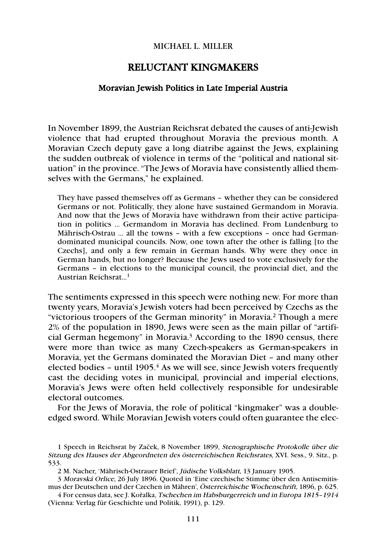## MICHAEL L. MILLER

## RELUCTANT KINGMAKERS

## Moravian Jewish Politics in Late Imperial Austria

In November 1899, the Austrian Reichsrat debated the causes of anti-Jewish violence that had erupted throughout Moravia the previous month. A Moravian Czech deputy gave a long diatribe against the Jews, explaining the sudden outbreak of violence in terms of the "political and national situation" in the province. "The Jews of Moravia have consistently allied themselves with the Germans," he explained.

They have passed themselves off as Germans – whether they can be considered Germans or not. Politically, they alone have sustained Germandom in Moravia. And now that the Jews of Moravia have withdrawn from their active participation in politics … Germandom in Moravia has declined. From Lundenburg to Mährisch-Ostrau … all the towns – with a few exceptions – once had Germandominated municipal councils. Now, one town after the other is falling [to the Czechs], and only a few remain in German hands. Why were they once in German hands, but no longer? Because the Jews used to vote exclusively for the Germans – in elections to the municipal council, the provincial diet, and the Austrian Reichsrat…1

The sentiments expressed in this speech were nothing new. For more than twenty years, Moravia's Jewish voters had been perceived by Czechs as the "victorious troopers of the German minority" in Moravia.2 Though a mere 2% of the population in 1890, Jews were seen as the main pillar of "artificial German hegemony" in Moravia.3 According to the 1890 census, there were more than twice as many Czech-speakers as German-speakers in Moravia, yet the Germans dominated the Moravian Diet – and many other elected bodies – until  $1905<sup>4</sup>$  As we will see, since Jewish voters frequently cast the deciding votes in municipal, provincial and imperial elections, Moravia's Jews were often held collectively responsible for undesirable electoral outcomes.

For the Jews of Moravia, the role of political "kingmaker" was a doubleedged sword. While Moravian Jewish voters could often guarantee the elec-

2 M. Nacher, 'Mährisch-Ostrauer Brief', Jüdische Volksblatt, 13 January 1905.

<sup>1</sup> Speech in Reichsrat by Začek, 8 November 1899, Stenographische Protokolle über die Sitzung des Hauses der Abgeordneten des österreichischen Reichsrates, XVI. Sess., 9. Sitz., p. 533.

<sup>3</sup> Moravská Orlice, 26 July 1896. Quoted in 'Eine czechische Stimme über den Antisemitismus der Deutschen und der Czechen in Mähren', Österreichische Wochenschrift, 1896, p. 625.

<sup>4</sup> For census data, see J. Kořalka, Tschechen im Habsburgerreich und in Europa 1815–1914 (Vienna: Verlag für Geschichte und Politik, 1991), p. 129.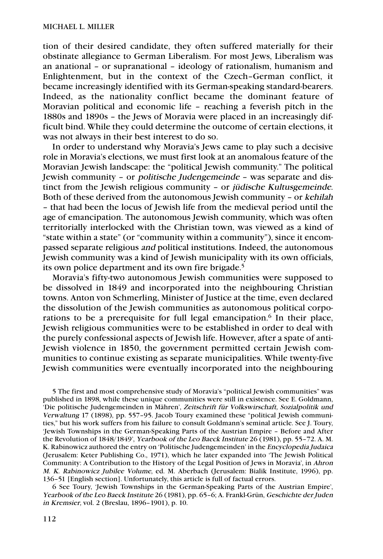tion of their desired candidate, they often suffered materially for their obstinate allegiance to German Liberalism. For most Jews, Liberalism was an anational – or supranational – ideology of rationalism, humanism and Enlightenment, but in the context of the Czech–German conflict, it became increasingly identified with its German-speaking standard-bearers. Indeed, as the nationality conflict became the dominant feature of Moravian political and economic life – reaching a feverish pitch in the 1880s and 1890s – the Jews of Moravia were placed in an increasingly difficult bind. While they could determine the outcome of certain elections, it was not always in their best interest to do so.

In order to understand why Moravia's Jews came to play such a decisive role in Moravia's elections, we must first look at an anomalous feature of the Moravian Jewish landscape: the "political Jewish community." The political Jewish community – or politische Judengemeinde – was separate and distinct from the Jewish religious community – or jüdische Kultusgemeinde. Both of these derived from the autonomous Jewish community – or kehilah – that had been the locus of Jewish life from the medieval period until the age of emancipation. The autonomous Jewish community, which was often territorially interlocked with the Christian town, was viewed as a kind of "state within a state" (or "community within a community"), since it encompassed separate religious and political institutions. Indeed, the autonomous Jewish community was a kind of Jewish municipality with its own officials, its own police department and its own fire brigade.5

Moravia's fifty-two autonomous Jewish communities were supposed to be dissolved in 1849 and incorporated into the neighbouring Christian towns. Anton von Schmerling, Minister of Justice at the time, even declared the dissolution of the Jewish communities as autonomous political corporations to be a prerequisite for full legal emancipation.<sup>6</sup> In their place, Jewish religious communities were to be established in order to deal with the purely confessional aspects of Jewish life. However, after a spate of anti-Jewish violence in 1850, the government permitted certain Jewish communities to continue existing as separate municipalities. While twenty-five Jewish communities were eventually incorporated into the neighbouring

5 The first and most comprehensive study of Moravia's "political Jewish communities" was published in 1898, while these unique communities were still in existence. See E. Goldmann, 'Die politische Judengemeinden in Mähren', Zeitschrift für Volkswirschaft, Sozialpolitik und Verwaltung 17 (1898), pp. 557–95. Jacob Toury examined these "political Jewish communities," but his work suffers from his failure to consult Goldmann's seminal article. See J. Toury, 'Jewish Townships in the German-Speaking Parts of the Austrian Empire – Before and After the Revolution of 1848/1849', Yearbook of the Leo Baeck Institute 26 (1981), pp. 55–72. A. M. K. Rabinowicz authored the entry on 'Politische Judengemeinden' in the Encyclopedia Judaica (Jerusalem: Keter Publishing Co., 1971), which he later expanded into 'The Jewish Political Community: A Contribution to the History of the Legal Position of Jews in Moravia', in Ahron M. K. Rabinowicz Jubilee Volume, ed. M. Aberbach (Jerusalem: Bialik Institute, 1996), pp. 136–51 [English section]. Unfortunately, this article is full of factual errors.

6 See Toury, 'Jewish Townships in the German-Speaking Parts of the Austrian Empire', Yearbook of the Leo Baeck Institute 26 (1981), pp. 65–6; A. Frankl-Grün, Geschichte der Juden in Kremsier, vol. 2 (Breslau, 1896–1901), p. 10.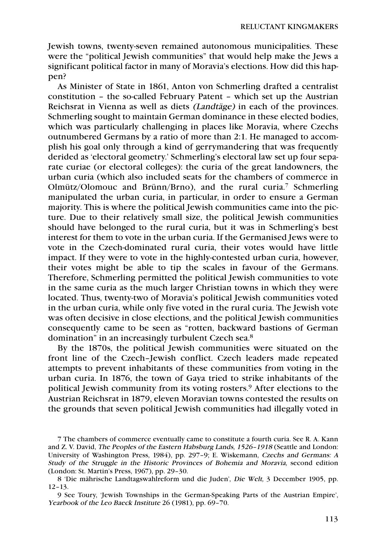Jewish towns, twenty-seven remained autonomous municipalities. These were the "political Jewish communities" that would help make the Jews a significant political factor in many of Moravia's elections. How did this happen?

As Minister of State in 1861, Anton von Schmerling drafted a centralist constitution – the so-called February Patent – which set up the Austrian Reichsrat in Vienna as well as diets (Landtäge) in each of the provinces. Schmerling sought to maintain German dominance in these elected bodies, which was particularly challenging in places like Moravia, where Czechs outnumbered Germans by a ratio of more than 2:1. He managed to accomplish his goal only through a kind of gerrymandering that was frequently derided as 'electoral geometry.' Schmerling's electoral law set up four separate curiae (or electoral colleges): the curia of the great landowners, the urban curia (which also included seats for the chambers of commerce in Olmütz/Olomouc and Brünn/Brno), and the rural curia.<sup>7</sup> Schmerling manipulated the urban curia, in particular, in order to ensure a German majority. This is where the political Jewish communities came into the picture. Due to their relatively small size, the political Jewish communities should have belonged to the rural curia, but it was in Schmerling's best interest for them to vote in the urban curia. If the Germanised Jews were to vote in the Czech-dominated rural curia, their votes would have little impact. If they were to vote in the highly-contested urban curia, however, their votes might be able to tip the scales in favour of the Germans. Therefore, Schmerling permitted the political Jewish communities to vote in the same curia as the much larger Christian towns in which they were located. Thus, twenty-two of Moravia's political Jewish communities voted in the urban curia, while only five voted in the rural curia. The Jewish vote was often decisive in close elections, and the political Jewish communities consequently came to be seen as "rotten, backward bastions of German domination" in an increasingly turbulent Czech sea.8

By the 1870s, the political Jewish communities were situated on the front line of the Czech–Jewish conflict. Czech leaders made repeated attempts to prevent inhabitants of these communities from voting in the urban curia. In 1876, the town of Gaya tried to strike inhabitants of the political Jewish community from its voting rosters.9 After elections to the Austrian Reichsrat in 1879, eleven Moravian towns contested the results on the grounds that seven political Jewish communities had illegally voted in

<sup>7</sup> The chambers of commerce eventually came to constitute a fourth curia. See R. A. Kann and Z. V. David, The Peoples of the Eastern Habsburg Lands, 1526–1918 (Seattle and London: University of Washington Press, 1984), pp. 297–9; E. Wiskemann, Czechs and Germans: A Study of the Struggle in the Historic Provinces of Bohemia and Moravia, second edition (London: St. Martin's Press, 1967), pp. 29–30.

<sup>8 &#</sup>x27;Die mährische Landtagswahlreform und die Juden', Die Welt, 3 December 1905, pp. 12–13.

<sup>9</sup> See Toury, 'Jewish Townships in the German-Speaking Parts of the Austrian Empire', Yearbook of the Leo Baeck Institute 26 (1981), pp. 69–70.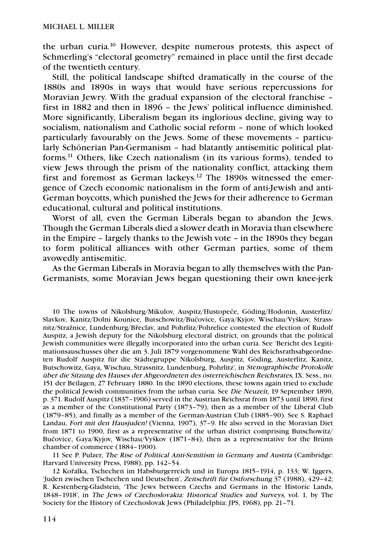the urban curia.10 However, despite numerous protests, this aspect of Schmerling's "electoral geometry" remained in place until the first decade of the twentieth century.

Still, the political landscape shifted dramatically in the course of the 1880s and 1890s in ways that would have serious repercussions for Moravian Jewry. With the gradual expansion of the electoral franchise – first in 1882 and then in 1896 – the Jews' political influence diminished. More significantly, Liberalism began its inglorious decline, giving way to socialism, nationalism and Catholic social reform – none of which looked particularly favourably on the Jews. Some of these movements – particularly Schönerian Pan-Germanism – had blatantly antisemitic political platforms.11 Others, like Czech nationalism (in its various forms), tended to view Jews through the prism of the nationality conflict, attacking them first and foremost as German lackeys.12 The 1890s witnessed the emergence of Czech economic nationalism in the form of anti-Jewish and anti-German boycotts, which punished the Jews for their adherence to German educational, cultural and political institutions.

Worst of all, even the German Liberals began to abandon the Jews. Though the German Liberals died a slower death in Moravia than elsewhere in the Empire – largely thanks to the Jewish vote – in the 1890s they began to form political alliances with other German parties, some of them avowedly antisemitic.

As the German Liberals in Moravia began to ally themselves with the Pan-Germanists, some Moravian Jews began questioning their own knee-jerk

10 The towns of Nikolsburg/Mikulov, Auspitz/Hustopeče, Göding/Hodonin, Austerlitz/ Slavkov, Kanitz/Dolni Kounice, Butschowitz/Bučovice, Gaya/Kyjov, Wischau/Vyškov, Strassnitz/Stražnice, Lundenburg/Břeclav, and Pohrlitz/Pohrelice contested the election of Rudolf Auspitz, a Jewish deputy for the Nikolsburg electoral district, on grounds that the political Jewish communities were illegally incorporated into the urban curia. See 'Bericht des Legitimationsauschusses über die am 3. Juli 1879 vorgenommene Wahl des Reichsrathsabgeordneten Rudolf Auspitz für die Städtegruppe Nikolsburg, Auspitz, Göding, Austerlitz, Kanitz, Butschowitz, Gaya, Wischau, Strassnitz, Lundenburg, Pohrlitz', in Stenographische Protokolle über die Sitzung des Hauses der Abgeordneten des österreichischen Reichsrates, IX. Sess., no. 151 der Beilagen, 27 February 1880. In the 1890 elections, these towns again tried to exclude the political Jewish communities from the urban curia. See Die Neuzeit, 19 September 1890, p. 371. Rudolf Auspitz (1837–1906) served in the Austrian Reichsrat from 1873 until 1890, first as a member of the Constitutional Party (1873–79), then as a member of the Liberal Club (1879–85), and finally as a member of the German-Austrian Club (1885–90). See S. Raphael Landau, Fort mit den Hausjuden! (Vienna, 1907), 37–9. He also served in the Moravian Diet from 1871 to 1900, first as a representative of the urban district comprising Butschowitz/ Bučovice, Gaya/Kyjov, Wischau/Vyškov (1871–84), then as a representative for the Brünn chamber of commerce (1884–1900).

11 See P. Pulzer, The Rise of Political Anti-Semitism in Germany and Austria (Cambridge: Harvard University Press, 1988), pp. 142–54.

12 Kořalka, Tschechen im Habsburgerreich und in Europa 1815–1914, p. 133; W. Iggers, 'Juden zwischen Tschechen und Deutschen', Zeitschrift für Ostforschung 37 (1988), 429–42; R. Kestenberg-Gladstein, 'The Jews between Czechs and Germans in the Historic Lands, 1848–1918', in The Jews of Czechoslovakia: Historical Studies and Surveys, vol. 1, by The Society for the History of Czechoslovak Jews (Philadelphia: JPS, 1968), pp. 21–71.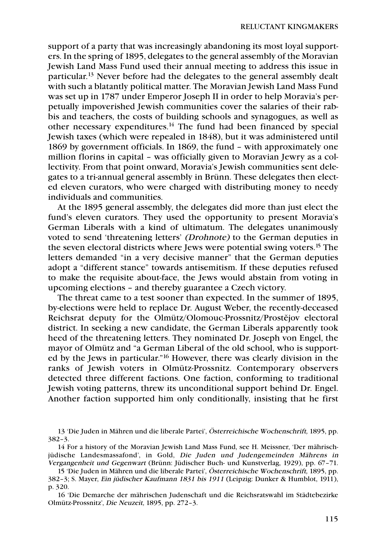support of a party that was increasingly abandoning its most loyal supporters. In the spring of 1895, delegates to the general assembly of the Moravian Jewish Land Mass Fund used their annual meeting to address this issue in particular.<sup>13</sup> Never before had the delegates to the general assembly dealt with such a blatantly political matter. The Moravian Jewish Land Mass Fund was set up in 1787 under Emperor Joseph II in order to help Moravia's perpetually impoverished Jewish communities cover the salaries of their rabbis and teachers, the costs of building schools and synagogues, as well as other necessary expenditures.14 The fund had been financed by special Jewish taxes (which were repealed in 1848), but it was administered until 1869 by government officials. In 1869, the fund – with approximately one million florins in capital – was officially given to Moravian Jewry as a collectivity. From that point onward, Moravia's Jewish communities sent delegates to a tri-annual general assembly in Brünn. These delegates then elected eleven curators, who were charged with distributing money to needy individuals and communities.

At the 1895 general assembly, the delegates did more than just elect the fund's eleven curators. They used the opportunity to present Moravia's German Liberals with a kind of ultimatum. The delegates unanimously voted to send 'threatening letters' (Drohnote) to the German deputies in the seven electoral districts where Jews were potential swing voters.15 The letters demanded "in a very decisive manner" that the German deputies adopt a "different stance" towards antisemitism. If these deputies refused to make the requisite about-face, the Jews would abstain from voting in upcoming elections – and thereby guarantee a Czech victory.

The threat came to a test sooner than expected. In the summer of 1895, by-elections were held to replace Dr. August Weber, the recently-deceased Reichsrat deputy for the Olmütz/Olomouc-Prossnitz/Prostějov electoral district. In seeking a new candidate, the German Liberals apparently took heed of the threatening letters. They nominated Dr. Joseph von Engel, the mayor of Olmütz and "a German Liberal of the old school, who is supported by the Jews in particular."16 However, there was clearly division in the ranks of Jewish voters in Olmütz-Prossnitz. Contemporary observers detected three different factions. One faction, conforming to traditional Jewish voting patterns, threw its unconditional support behind Dr. Engel. Another faction supported him only conditionally, insisting that he first

<sup>13 &#</sup>x27;Die Juden in Mähren und die liberale Partei', Österreichische Wochenschrift, 1895, pp. 382–3.

<sup>14</sup> For a history of the Moravian Jewish Land Mass Fund, see H. Meissner, 'Der mährischjüdische Landesmassafond', in Gold, Die Juden und Judengemeinden Mährens in Vergangenheit und Gegenwart (Brünn: Jüdischer Buch- und Kunstverlag, 1929), pp. 67–71.

<sup>15 &#</sup>x27;Die Juden in Mähren und die liberale Partei', Österreichische Wochenschrift, 1895, pp. 382–3; S. Mayer, Ein jüdischer Kaufmann 1831 bis 1911 (Leipzig: Dunker & Humblot, 1911), p. 320.

<sup>16 &#</sup>x27;Die Demarche der mährischen Judenschaft und die Reichsratswahl im Städtebezirke Olmütz-Prossnitz', Die Neuzeit, 1895, pp. 272–3.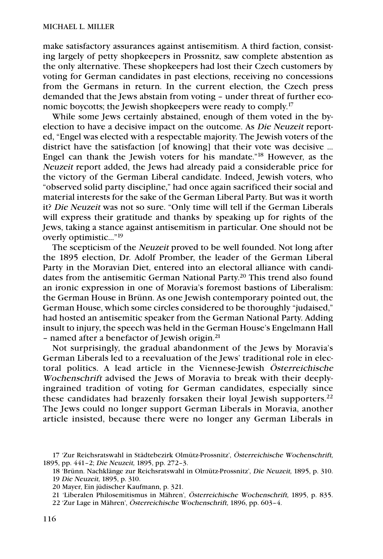make satisfactory assurances against antisemitism. A third faction, consisting largely of petty shopkeepers in Prossnitz, saw complete abstention as the only alternative. These shopkeepers had lost their Czech customers by voting for German candidates in past elections, receiving no concessions from the Germans in return. In the current election, the Czech press demanded that the Jews abstain from voting – under threat of further economic boycotts; the Jewish shopkeepers were ready to comply.<sup>17</sup>

While some Jews certainly abstained, enough of them voted in the byelection to have a decisive impact on the outcome. As Die Neuzeit reported, "Engel was elected with a respectable majority. The Jewish voters of the district have the satisfaction [of knowing] that their vote was decisive … Engel can thank the Jewish voters for his mandate."18 However, as the Neuzeit report added, the Jews had already paid a considerable price for the victory of the German Liberal candidate. Indeed, Jewish voters, who "observed solid party discipline," had once again sacrificed their social and material interests for the sake of the German Liberal Party. But was it worth it? Die Neuzeit was not so sure. "Only time will tell if the German Liberals will express their gratitude and thanks by speaking up for rights of the Jews, taking a stance against antisemitism in particular. One should not be overly optimistic…"19

The scepticism of the Neuzeit proved to be well founded. Not long after the 1895 election, Dr. Adolf Promber, the leader of the German Liberal Party in the Moravian Diet, entered into an electoral alliance with candidates from the antisemitic German National Party. <sup>20</sup> This trend also found an ironic expression in one of Moravia's foremost bastions of Liberalism: the German House in Brünn. As one Jewish contemporary pointed out, the German House, which some circles considered to be thoroughly "judaised," had hosted an antisemitic speaker from the German National Party. Adding insult to injury, the speech was held in the German House's Engelmann Hall – named after a benefactor of Jewish origin.21

Not surprisingly, the gradual abandonment of the Jews by Moravia's German Liberals led to a reevaluation of the Jews' traditional role in electoral politics. A lead article in the Viennese-Jewish Österreichische Wochenschrift advised the Jews of Moravia to break with their deeplyingrained tradition of voting for German candidates, especially since these candidates had brazenly forsaken their loyal Jewish supporters.<sup>22</sup> The Jews could no longer support German Liberals in Moravia, another article insisted, because there were no longer any German Liberals in

<sup>17 &#</sup>x27;Zur Reichsratswahl in Städtebezirk Olmütz-Prossnitz', Österreichische Wochenschrift, 1895, pp. 441–2; Die Neuzeit, 1895, pp. 272–3.

<sup>18 &#</sup>x27;Brünn. Nachklänge zur Reichsratswahl in Olmütz-Prossnitz', Die Neuzeit, 1895, p. 310. 19 Die Neuzeit, 1895, p. 310.

<sup>20</sup> Mayer, Ein jüdischer Kaufmann, p. 321.

<sup>21 &#</sup>x27;Liberalen Philosemitismus in Mähren', Österreichische Wochenschrift, 1895, p. 835.

<sup>22 &#</sup>x27;Zur Lage in Mähren', Österreichische Wochenschrift, 1896, pp. 603–4.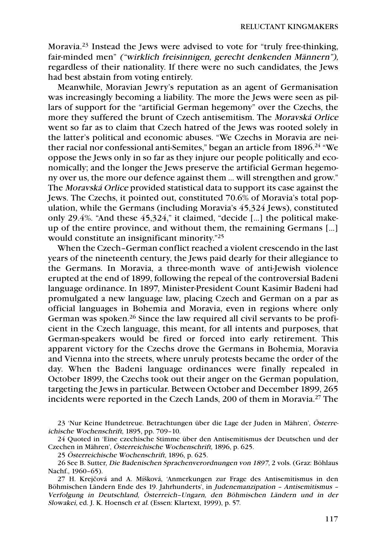Moravia.23 Instead the Jews were advised to vote for "truly free-thinking, fair-minded men" ("wirklich freisinnigen, gerecht denkenden Männern"), regardless of their nationality. If there were no such candidates, the Jews had best abstain from voting entirely.

Meanwhile, Moravian Jewry's reputation as an agent of Germanisation was increasingly becoming a liability. The more the Jews were seen as pillars of support for the "artificial German hegemony" over the Czechs, the more they suffered the brunt of Czech antisemitism. The Moravská Orlice went so far as to claim that Czech hatred of the Jews was rooted solely in the latter's political and economic abuses. "We Czechs in Moravia are neither racial nor confessional anti-Semites," began an article from 1896.24 "We oppose the Jews only in so far as they injure our people politically and economically; and the longer the Jews preserve the artificial German hegemony over us, the more our defence against them … will strengthen and grow." The Moravská Orlice provided statistical data to support its case against the Jews. The Czechs, it pointed out, constituted 70.6% of Moravia's total population, while the Germans (including Moravia's 45,324 Jews), constituted only 29.4%. "And these 45,324," it claimed, "decide [...] the political makeup of the entire province, and without them, the remaining Germans [...] would constitute an insignificant minority."25

When the Czech–German conflict reached a violent crescendo in the last years of the nineteenth century, the Jews paid dearly for their allegiance to the Germans. In Moravia, a three-month wave of anti-Jewish violence erupted at the end of 1899, following the repeal of the controversial Badeni language ordinance. In 1897, Minister-President Count Kasimir Badeni had promulgated a new language law, placing Czech and German on a par as official languages in Bohemia and Moravia, even in regions where only German was spoken.26 Since the law required all civil servants to be proficient in the Czech language, this meant, for all intents and purposes, that German-speakers would be fired or forced into early retirement. This apparent victory for the Czechs drove the Germans in Bohemia, Moravia and Vienna into the streets, where unruly protests became the order of the day. When the Badeni language ordinances were finally repealed in October 1899, the Czechs took out their anger on the German population, targeting the Jews in particular. Between October and December 1899, 265 incidents were reported in the Czech Lands, 200 of them in Moravia.27 The

23 'Nur Keine Hundetreue. Betrachtungen über die Lage der Juden in Mähren', Österreichische Wochenschrift, 1895, pp. 709–10.

24 Quoted in 'Eine czechische Stimme über den Antisemitismus der Deutschen und der Czechen in Mähren', Österreichische Wochenschrift, 1896, p. 625.

25 Österreichische Wochenschrift, 1896, p. 625.

26 See B. Sutter, Die Badenischen Sprachenverordnungen von 1897, 2 vols. (Graz: Böhlaus Nachf., 1960–65).

27 H. Krejčová and A. Míšková, 'Anmerkungen zur Frage des Antisemitismus in den Böhmischen Ländern Ende des 19. Jahrhunderts', in Judenemanzipation – Antisemitismus – Verfolgung in Deutschland, Österreich–Ungarn, den Böhmischen Ländern und in der Slowakei, ed. J. K. Hoensch et al. (Essen: Klartext, 1999), p. 57.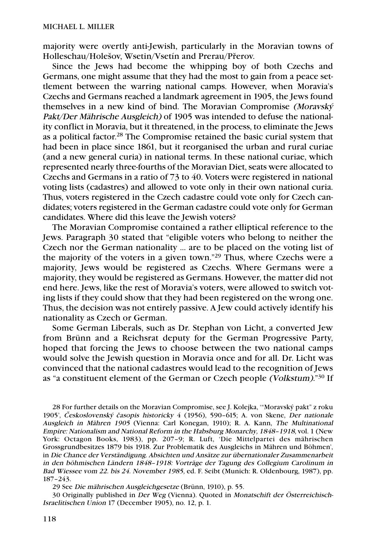majority were overtly anti-Jewish, particularly in the Moravian towns of Holleschau/Holešov, Wsetin/Vsetín and Prerau/Přerov.

Since the Jews had become the whipping boy of both Czechs and Germans, one might assume that they had the most to gain from a peace settlement between the warring national camps. However, when Moravia's Czechs and Germans reached a landmark agreement in 1905, the Jews found themselves in a new kind of bind. The Moravian Compromise (Moravský Pakt/Der Mährische Ausgleich) of 1905 was intended to defuse the nationality conflict in Moravia, but it threatened, in the process, to eliminate the Jews as a political factor. <sup>28</sup> The Compromise retained the basic curial system that had been in place since 1861, but it reorganised the urban and rural curiae (and a new general curia) in national terms. In these national curiae, which represented nearly three-fourths of the Moravian Diet, seats were allocated to Czechs and Germans in a ratio of 73 to 40. Voters were registered in national voting lists (cadastres) and allowed to vote only in their own national curia. Thus, voters registered in the Czech cadastre could vote only for Czech candidates; voters registered in the German cadastre could vote only for German candidates. Where did this leave the Jewish voters?

The Moravian Compromise contained a rather elliptical reference to the Jews. Paragraph 30 stated that "eligible voters who belong to neither the Czech nor the German nationality … are to be placed on the voting list of the majority of the voters in a given town."29 Thus, where Czechs were a majority, Jews would be registered as Czechs. Where Germans were a majority, they would be registered as Germans. However, the matter did not end here. Jews, like the rest of Moravia's voters, were allowed to switch voting lists if they could show that they had been registered on the wrong one. Thus, the decision was not entirely passive. A Jew could actively identify his nationality as Czech or German.

Some German Liberals, such as Dr. Stephan von Licht, a converted Jew from Brünn and a Reichsrat deputy for the German Progressive Party, hoped that forcing the Jews to choose between the two national camps would solve the Jewish question in Moravia once and for all. Dr. Licht was convinced that the national cadastres would lead to the recognition of Jews as "a constituent element of the German or Czech people (Volkstum)."30 If

28 For further details on the Moravian Compromise, see J. Kolejka, '"Moravský pakt" z roku 1905', *Č*eskoslovenský *č*asopis historicky 4 (1956), 590–615; A. von Skene, Der nationale Ausgleich in Mähren 1905 (Vienna: Carl Konegan, 1910); R. A. Kann, The Multinational Empire: Nationalism and National Reform in the Habsburg Monarchy, 1848–1918, vol. 1 (New York: Octagon Books, 1983), pp. 207–9; R. Luft, 'Die Mittelpartei des mährischen Grossgrundbesitzes 1879 bis 1918. Zur Problematik des Ausgleichs in Mähren und Böhmen', in Die Chance der Verständigung. Absichten und Ansätze zur übernationaler Zusammenarbeit in den böhmischen Ländern 1848–1918: Vorträge der Tagung des Collegium Carolinum in Bad Wiessee vom 22. bis 24. November 1985, ed. F. Seibt (Munich: R. Oldenbourg, 1987), pp. 187–243.

29 See Die mährischen Ausgleichgesetze (Brünn, 1910), p. 55.

30 Originally published in Der Weg (Vienna). Quoted in Monatschift der Österreichisch-Israelitischen Union 17 (December 1905), no. 12, p. 1.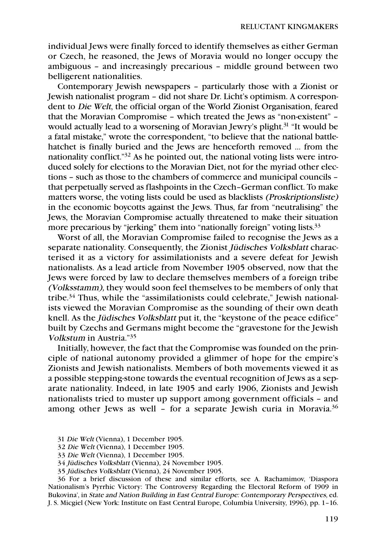individual Jews were finally forced to identify themselves as either German or Czech, he reasoned, the Jews of Moravia would no longer occupy the ambiguous – and increasingly precarious – middle ground between two belligerent nationalities.

Contemporary Jewish newspapers – particularly those with a Zionist or Jewish nationalist program – did not share Dr. Licht's optimism. A correspondent to Die Welt, the official organ of the World Zionist Organisation, feared that the Moravian Compromise – which treated the Jews as "non-existent" – would actually lead to a worsening of Moravian Jewry's plight.<sup>31</sup> "It would be a fatal mistake," wrote the correspondent, "to believe that the national battlehatchet is finally buried and the Jews are henceforth removed … from the nationality conflict."32 As he pointed out, the national voting lists were introduced solely for elections to the Moravian Diet, not for the myriad other elections – such as those to the chambers of commerce and municipal councils – that perpetually served as flashpoints in the Czech–German conflict. To make matters worse, the voting lists could be used as blacklists (Proskriptionsliste) in the economic boycotts against the Jews. Thus, far from "neutralising" the Jews, the Moravian Compromise actually threatened to make their situation more precarious by "jerking" them into "nationally foreign" voting lists.<sup>33</sup>

Worst of all, the Moravian Compromise failed to recognise the Jews as a separate nationality. Consequently, the Zionist Jüdisches Volksblatt characterised it as a victory for assimilationists and a severe defeat for Jewish nationalists. As a lead article from November 1905 observed, now that the Jews were forced by law to declare themselves members of a foreign tribe (Volksstamm), they would soon feel themselves to be members of only that tribe.34 Thus, while the "assimilationists could celebrate," Jewish nationalists viewed the Moravian Compromise as the sounding of their own death knell. As the Jüdisches Volksblatt put it, the "keystone of the peace edifice" built by Czechs and Germans might become the "gravestone for the Jewish Volkstum in Austria."35

Initially, however, the fact that the Compromise was founded on the principle of national autonomy provided a glimmer of hope for the empire's Zionists and Jewish nationalists. Members of both movements viewed it as a possible stepping-stone towards the eventual recognition of Jews as a separate nationality. Indeed, in late 1905 and early 1906, Zionists and Jewish nationalists tried to muster up support among government officials – and among other Jews as well - for a separate Jewish curia in Moravia. $36$ 

- 32 Die Welt (Vienna), 1 December 1905.
- 33 Die Welt (Vienna), 1 December 1905.
- 34 Jüdisches Volksblatt (Vienna), 24 November 1905.
- 35 Jüdisches Volksblatt (Vienna), 24 November 1905.

36 For a brief discussion of these and similar efforts, see A. Rachamimov, 'Diaspora Nationalism's Pyrrhic Victory: The Controversy Regarding the Electoral Reform of 1909 in Bukovina', in State and Nation Building in East Central Europe: Contemporary Perspectives, ed. J. S. Micgiel (New York: Institute on East Central Europe, Columbia University, 1996), pp. 1–16.

<sup>31</sup> Die Welt (Vienna), 1 December 1905.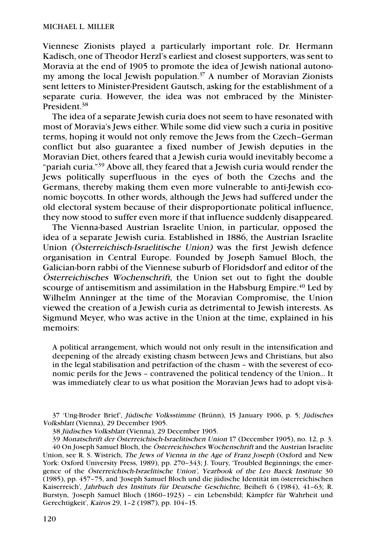Viennese Zionists played a particularly important role. Dr. Hermann Kadisch, one of Theodor Herzl's earliest and closest supporters, was sent to Moravia at the end of 1905 to promote the idea of Jewish national autonomy among the local Jewish population.<sup>37</sup> A number of Moravian Zionists sent letters to Minister-President Gautsch, asking for the establishment of a separate curia. However, the idea was not embraced by the Minister-President.38

The idea of a separate Jewish curia does not seem to have resonated with most of Moravia's Jews either. While some did view such a curia in positive terms, hoping it would not only remove the Jews from the Czech–German conflict but also guarantee a fixed number of Jewish deputies in the Moravian Diet, others feared that a Jewish curia would inevitably become a "pariah curia."39 Above all, they feared that a Jewish curia would render the Jews politically superfluous in the eyes of both the Czechs and the Germans, thereby making them even more vulnerable to anti-Jewish economic boycotts. In other words, although the Jews had suffered under the old electoral system because of their disproportionate political influence, they now stood to suffer even more if that influence suddenly disappeared.

The Vienna-based Austrian Israelite Union, in particular, opposed the idea of a separate Jewish curia. Established in 1886, the Austrian Israelite Union (Österreichisch-Israelitische Union) was the first Jewish defence organisation in Central Europe. Founded by Joseph Samuel Bloch, the Galician-born rabbi of the Viennese suburb of Floridsdorf and editor of the Österreichisches Wochenschrift, the Union set out to fight the double scourge of antisemitism and assimilation in the Habsburg Empire.<sup>40</sup> Led by Wilhelm Anninger at the time of the Moravian Compromise, the Union viewed the creation of a Jewish curia as detrimental to Jewish interests. As Sigmund Meyer, who was active in the Union at the time, explained in his memoirs:

A political arrangement, which would not only result in the intensification and deepening of the already existing chasm between Jews and Christians, but also in the legal stabilisation and petrifaction of the chasm – with the severest of economic perils for the Jews – contravened the political tendency of the Union… It was immediately clear to us what position the Moravian Jews had to adopt vis-à-

37 'Ung-Broder Brief', Jüdische Volksstimme (Brünn), 15 January 1906, p. 5; Jüdisches Volksblatt (Vienna), 29 December 1905.

38 Jüdisches Volksblatt (Vienna), 29 December 1905.

39 Monatschrift der Österreichisch-Israelitischen Union 17 (December 1905), no. 12, p. 3. 40 On Joseph Samuel Bloch, the Österreichisches Wochenschrift and the Austrian Israelite Union, see R. S. Wistrich, The Jews of Vienna in the Age of Franz Joseph (Oxford and New York: Oxford University Press, 1989), pp. 270-343; J. Toury, 'Troubled Beginnings; the emergence of the Österreichisch-Israelitische Union', Yearbook of the Leo Baeck Institute 30 (1985), pp. 457–75, and 'Joseph Samuel Bloch und die jüdische Identität im österreichischen Kaiserreich', Jahrbuch des Instituts für Deutsche Geschichte, Beiheft 6 (1984), 41–63; R. Burstyn, 'Joseph Samuel Bloch (1860–1923) – ein Lebensbild; Kämpfer für Wahrheit und Gerechtigkeit', Kairos 29, 1–2 (1987), pp. 104–15.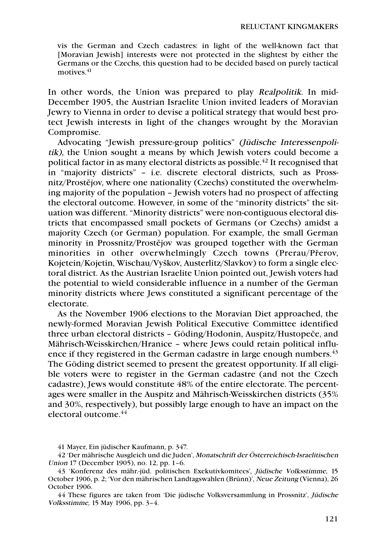vis the German and Czech cadastres: in light of the well-known fact that [Moravian Jewish] interests were not protected in the slightest by either the Germans or the Czechs, this question had to be decided based on purely tactical motives.<sup>41</sup>

In other words, the Union was prepared to play Realpolitik. In mid-December 1905, the Austrian Israelite Union invited leaders of Moravian Jewry to Vienna in order to devise a political strategy that would best protect Jewish interests in light of the changes wrought by the Moravian Compromise.

Advocating "Jewish pressure-group politics" (Jüdische Interessenpolitik), the Union sought a means by which Jewish voters could become a political factor in as many electoral districts as possible.<sup> $42$ </sup> It recognised that in "majority districts" – i.e. discrete electoral districts, such as Prossnitz/Prostějov, where one nationality (Czechs) constituted the overwhelming majority of the population – Jewish voters had no prospect of affecting the electoral outcome. However, in some of the "minority districts" the situation was different. "Minority districts" were non-contiguous electoral districts that encompassed small pockets of Germans (or Czechs) amidst a majority Czech (or German) population. For example, the small German minority in Prossnitz/Prostějov was grouped together with the German minorities in other overwhelmingly Czech towns (Prerau/Přerov, Kojetein/Kojetin, Wischau/Vyškov, Austerlitz/Slavkov) to form a single electoral district. As the Austrian Israelite Union pointed out, Jewish voters had the potential to wield considerable influence in a number of the German minority districts where Jews constituted a significant percentage of the electorate.

As the November 1906 elections to the Moravian Diet approached, the newly-formed Moravian Jewish Political Executive Committee identified three urban electoral districts – Göding/Hodonin, Auspitz/Hustopeče, and Mährisch-Weisskirchen/Hranice – where Jews could retain political influence if they registered in the German cadastre in large enough numbers. $43$ The Göding district seemed to present the greatest opportunity. If all eligible voters were to register in the German cadastre (and not the Czech cadastre), Jews would constitute 48% of the entire electorate. The percentages were smaller in the Auspitz and Mährisch-Weisskirchen districts (35% and 30%, respectively), but possibly large enough to have an impact on the electoral outcome.44

<sup>41</sup> Mayer, Ein jüdischer Kaufmann, p. 347.

<sup>42 &#</sup>x27;Der mährische Ausgleich und die Juden', Monatschrift der Österreichisch-Israelitischen Union 17 (December 1905), no. 12, pp. 1–6.

<sup>43 &#</sup>x27;Konferenz des mähr.-jüd. politischen Exekutivkomitees', Jüdische Volksstimme, 15 October 1906, p. 2; 'Vor den mährischen Landtagswahlen (Brünn)', Neue Zeitung (Vienna), 26 October 1906.

<sup>44</sup> These figures are taken from 'Die jüdische Volksversammlung in Prossnitz', Jüdische Volksstimme, 15 May 1906, pp. 3–4.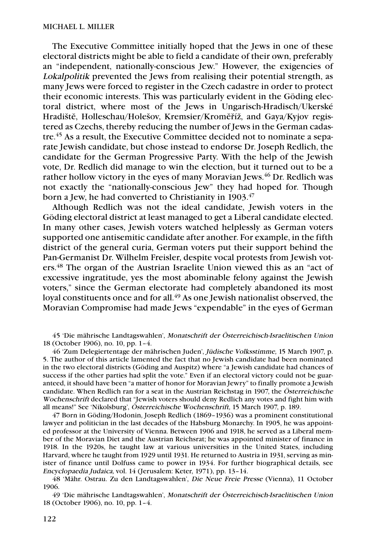The Executive Committee initially hoped that the Jews in one of these electoral districts might be able to field a candidate of their own, preferably an "independent, nationally-conscious Jew." However, the exigencies of Lokalpolitik prevented the Jews from realising their potential strength, as many Jews were forced to register in the Czech cadastre in order to protect their economic interests. This was particularly evident in the Göding electoral district, where most of the Jews in Ungarisch-Hradisch/Ukerské Hradiště, Holleschau/Holešov, Kremsier/Kroměříž, and Gaya/Kyjov registered as Czechs, thereby reducing the number of Jews in the German cadastre.45 As a result, the Executive Committee decided not to nominate a separate Jewish candidate, but chose instead to endorse Dr. Joseph Redlich, the candidate for the German Progressive Party. With the help of the Jewish vote, Dr. Redlich did manage to win the election, but it turned out to be a rather hollow victory in the eyes of many Moravian Jews.<sup>46</sup> Dr. Redlich was not exactly the "nationally-conscious Jew" they had hoped for. Though born a Jew, he had converted to Christianity in 1903.<sup>47</sup>

Although Redlich was not the ideal candidate, Jewish voters in the Göding electoral district at least managed to get a Liberal candidate elected. In many other cases, Jewish voters watched helplessly as German voters supported one antisemitic candidate after another. For example, in the fifth district of the general curia, German voters put their support behind the Pan-Germanist Dr. Wilhelm Freisler, despite vocal protests from Jewish voters.48 The organ of the Austrian Israelite Union viewed this as an "act of excessive ingratitude, yes the most abominable felony against the Jewish voters," since the German electorate had completely abandoned its most loyal constituents once and for all.<sup>49</sup> As one Jewish nationalist observed, the Moravian Compromise had made Jews "expendable" in the eyes of German

45 'Die mährische Landtagswahlen', Monatschrift der Österreichisch-Israelitischen Union 18 (October 1906), no. 10, pp. 1–4.

46 'Zum Delegiertentage der mährischen Juden', Jüdische Volksstimme, 15 March 1907, p. 5. The author of this article lamented the fact that no Jewish candidate had been nominated in the two electoral districts (Göding and Auspitz) where "a Jewish candidate had chances of success if the other parties had split the vote." Even if an electoral victory could not be guaranteed, it should have been "a matter of honor for Moravian Jewry" to finally promote a Jewish candidate. When Redlich ran for a seat in the Austrian Reichstag in 1907, the Österreichische Wochenschrift declared that "Jewish voters should deny Redlich any votes and fight him with all means!" See 'Nikolsburg', Österreichische Wochenschrift, 15 March 1907, p. 189.

47 Born in Göding/Hodonin, Joseph Redlich (1869–1936) was a prominent constitutional lawyer and politician in the last decades of the Habsburg Monarchy. In 1905, he was appointed professor at the University of Vienna. Between 1906 and 1918, he served as a Liberal member of the Moravian Diet and the Austrian Reichsrat; he was appointed minister of finance in 1918. In the 1920s, he taught law at various universities in the United States, including Harvard, where he taught from 1929 until 1931. He returned to Austria in 1931, serving as minister of finance until Dolfuss came to power in 1934. For further biographical details, see Encyclopaedia Judaica, vol. 14 (Jerusalem: Keter, 1971), pp. 13–14.

48 'Mähr. Ostrau. Zu den Landtagswahlen', Die Neue Freie Presse (Vienna), 11 October 1906.

49 'Die mährische Landtagswahlen', Monatschrift der Österreichisch-Israelitischen Union 18 (October 1906), no. 10, pp. 1–4.